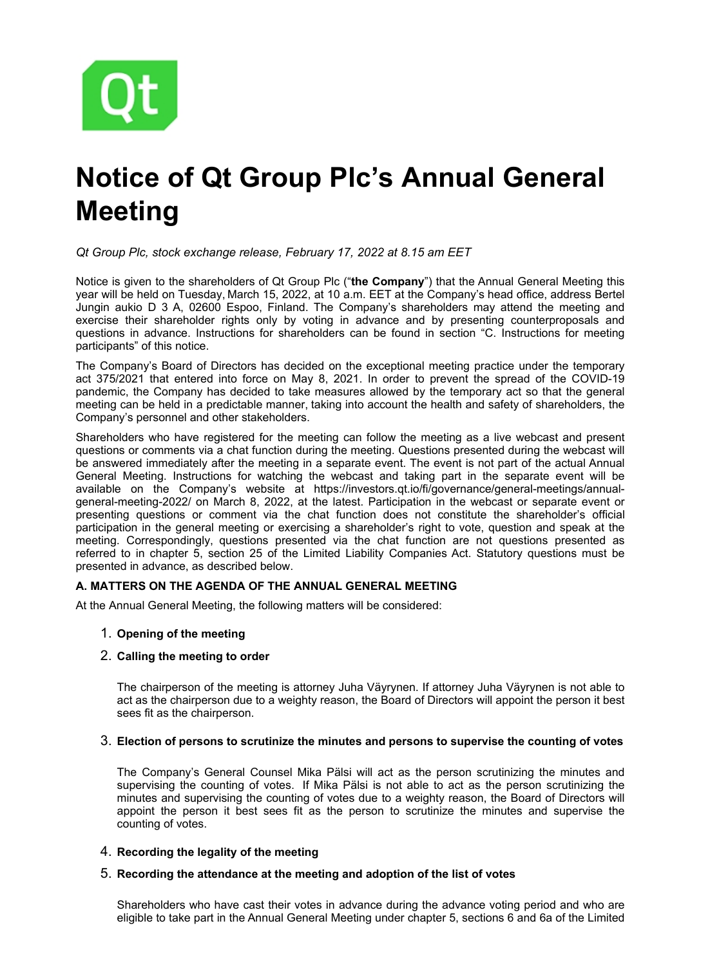

# **Notice of Qt Group Plc's Annual General Meeting**

*Qt Group Plc, stock exchange release, February 17, 2022 at 8.15 am EET*

Notice is given to the shareholders of Qt Group Plc ("**the Company**") that the Annual General Meeting this year will be held on Tuesday, March 15, 2022, at 10 a.m. EET at the Company's head office, address Bertel Jungin aukio D 3 A, 02600 Espoo, Finland. The Company's shareholders may attend the meeting and exercise their shareholder rights only by voting in advance and by presenting counterproposals and questions in advance. Instructions for shareholders can be found in section "C. Instructions for meeting participants" of this notice.

The Company's Board of Directors has decided on the exceptional meeting practice under the temporary act 375/2021 that entered into force on May 8, 2021. In order to prevent the spread of the COVID-19 pandemic, the Company has decided to take measures allowed by the temporary act so that the general meeting can be held in a predictable manner, taking into account the health and safety of shareholders, the Company's personnel and other stakeholders.

Shareholders who have registered for the meeting can follow the meeting as a live webcast and present questions or comments via a chat function during the meeting. Questions presented during the webcast will be answered immediately after the meeting in a separate event. The event is not part of the actual Annual General Meeting. Instructions for watching the webcast and taking part in the separate event will be available on the Company's website at https://investors.qt.io/fi/governance/general-meetings/annualgeneral-meeting-2022/ on March 8, 2022, at the latest. Participation in the webcast or separate event or presenting questions or comment via the chat function does not constitute the shareholder's official participation in the general meeting or exercising a shareholder's right to vote, question and speak at the meeting. Correspondingly, questions presented via the chat function are not questions presented as referred to in chapter 5, section 25 of the Limited Liability Companies Act. Statutory questions must be presented in advance, as described below.

## **A. MATTERS ON THE AGENDA OF THE ANNUAL GENERAL MEETING**

At the Annual General Meeting, the following matters will be considered:

## 1. **Opening of the meeting**

## 2. **Calling the meeting to order**

The chairperson of the meeting is attorney Juha Väyrynen. If attorney Juha Väyrynen is not able to act as the chairperson due to a weighty reason, the Board of Directors will appoint the person it best sees fit as the chairperson.

## 3. **Election of persons to scrutinize the minutes and persons to supervise the counting of votes**

The Company's General Counsel Mika Pälsi will act as the person scrutinizing the minutes and supervising the counting of votes. If Mika Pälsi is not able to act as the person scrutinizing the minutes and supervising the counting of votes due to a weighty reason, the Board of Directors will appoint the person it best sees fit as the person to scrutinize the minutes and supervise the counting of votes.

## 4. **Recording the legality of the meeting**

# 5. **Recording the attendance at the meeting and adoption of the list of votes**

Shareholders who have cast their votes in advance during the advance voting period and who are eligible to take part in the Annual General Meeting under chapter 5, sections 6 and 6a of the Limited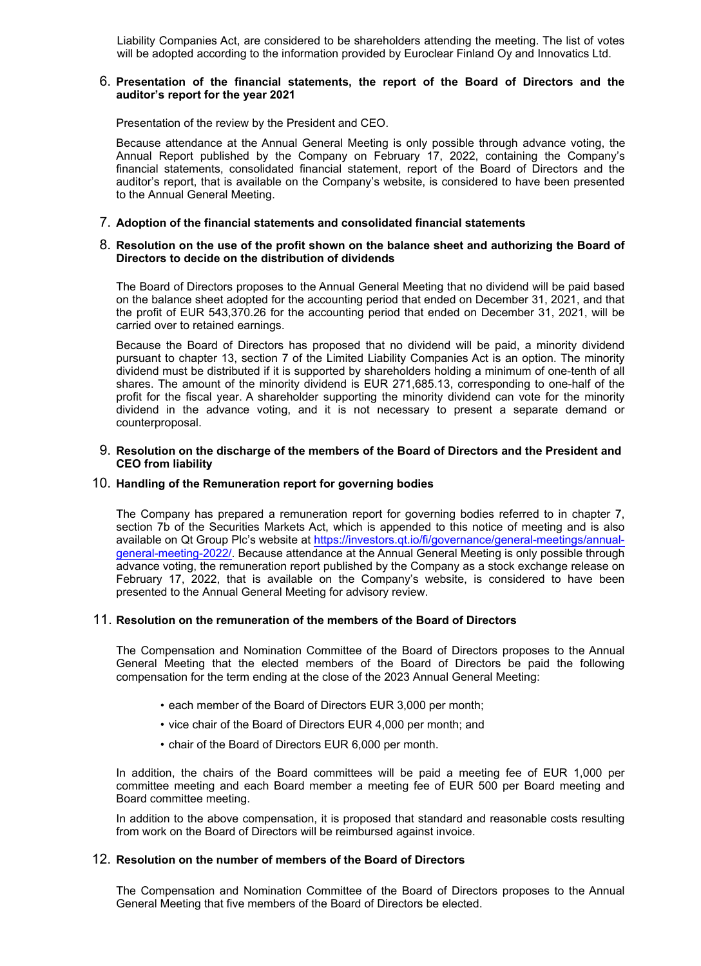Liability Companies Act, are considered to be shareholders attending the meeting. The list of votes will be adopted according to the information provided by Euroclear Finland Oy and Innovatics Ltd.

#### 6. **Presentation of the financial statements, the report of the Board of Directors and the auditor's report for the year 2021**

Presentation of the review by the President and CEO.

Because attendance at the Annual General Meeting is only possible through advance voting, the Annual Report published by the Company on February 17, 2022, containing the Company's financial statements, consolidated financial statement, report of the Board of Directors and the auditor's report, that is available on the Company's website, is considered to have been presented to the Annual General Meeting.

#### 7. **Adoption of the financial statements and consolidated financial statements**

#### 8. **Resolution on the use of the profit shown on the balance sheet and authorizing the Board of Directors to decide on the distribution of dividends**

The Board of Directors proposes to the Annual General Meeting that no dividend will be paid based on the balance sheet adopted for the accounting period that ended on December 31, 2021, and that the profit of EUR 543,370.26 for the accounting period that ended on December 31, 2021, will be carried over to retained earnings.

Because the Board of Directors has proposed that no dividend will be paid, a minority dividend pursuant to chapter 13, section 7 of the Limited Liability Companies Act is an option. The minority dividend must be distributed if it is supported by shareholders holding a minimum of one-tenth of all shares. The amount of the minority dividend is EUR 271,685.13, corresponding to one-half of the profit for the fiscal year. A shareholder supporting the minority dividend can vote for the minority dividend in the advance voting, and it is not necessary to present a separate demand or counterproposal.

#### 9. **Resolution on the discharge of the members of the Board of Directors and the President and CEO from liability**

#### 10. **Handling of the Remuneration report for governing bodies**

The Company has prepared a remuneration report for governing bodies referred to in chapter 7, section 7b of the Securities Markets Act, which is appended to this notice of meeting and is also available on Qt Group Plc's website at [https://investors.qt.io/fi/governance/general-meetings/annual](https://investors.qt.io/fi/governance/general-meetings/annual-general-meeting-2022/)[general-meeting-2022/.](https://investors.qt.io/fi/governance/general-meetings/annual-general-meeting-2022/) Because attendance at the Annual General Meeting is only possible through advance voting, the remuneration report published by the Company as a stock exchange release on February 17, 2022, that is available on the Company's website, is considered to have been presented to the Annual General Meeting for advisory review.

#### 11. **Resolution on the remuneration of the members of the Board of Directors**

The Compensation and Nomination Committee of the Board of Directors proposes to the Annual General Meeting that the elected members of the Board of Directors be paid the following compensation for the term ending at the close of the 2023 Annual General Meeting:

- each member of the Board of Directors EUR 3,000 per month;
- vice chair of the Board of Directors EUR 4,000 per month; and
- chair of the Board of Directors EUR 6,000 per month.

In addition, the chairs of the Board committees will be paid a meeting fee of EUR 1,000 per committee meeting and each Board member a meeting fee of EUR 500 per Board meeting and Board committee meeting.

In addition to the above compensation, it is proposed that standard and reasonable costs resulting from work on the Board of Directors will be reimbursed against invoice.

#### 12. **Resolution on the number of members of the Board of Directors**

The Compensation and Nomination Committee of the Board of Directors proposes to the Annual General Meeting that five members of the Board of Directors be elected.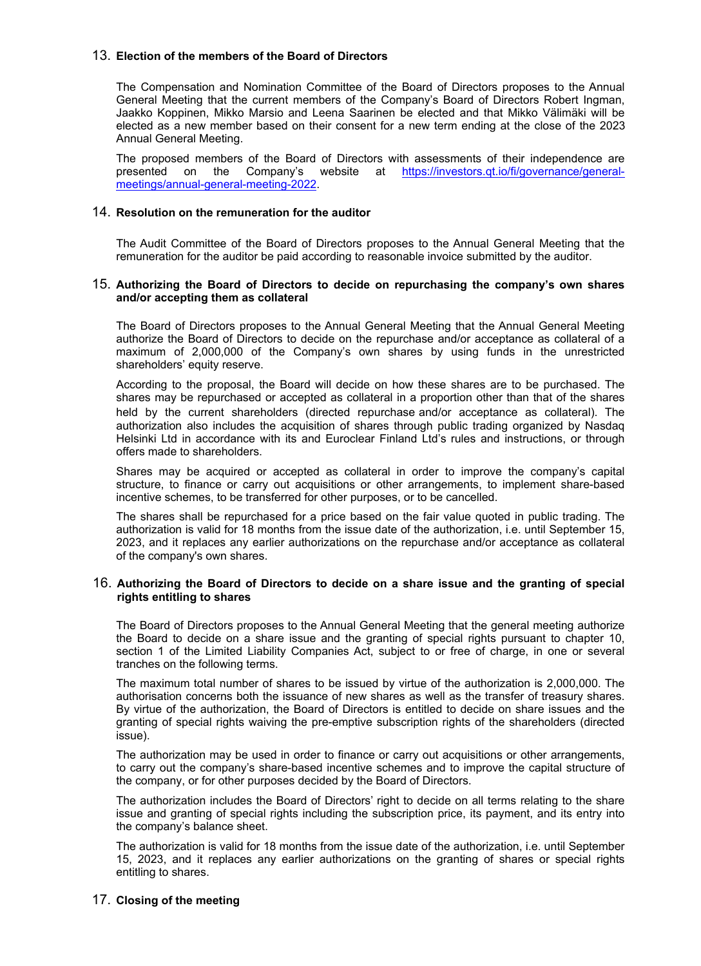## 13. **Election of the members of the Board of Directors**

The Compensation and Nomination Committee of the Board of Directors proposes to the Annual General Meeting that the current members of the Company's Board of Directors Robert Ingman, Jaakko Koppinen, Mikko Marsio and Leena Saarinen be elected and that Mikko Välimäki will be elected as a new member based on their consent for a new term ending at the close of the 2023 Annual General Meeting.

The proposed members of the Board of Directors with assessments of their independence are presented on the Company's website at [https://investors.qt.io/fi/governance/general](https://investors.qt.io/fi/governance/general-meetings/annual-general-meeting-2022)[meetings/annual-general-meeting-2022.](https://investors.qt.io/fi/governance/general-meetings/annual-general-meeting-2022)

#### 14. **Resolution on the remuneration for the auditor**

The Audit Committee of the Board of Directors proposes to the Annual General Meeting that the remuneration for the auditor be paid according to reasonable invoice submitted by the auditor.

#### 15. **Authorizing the Board of Directors to decide on repurchasing the company's own shares and/or accepting them as collateral**

The Board of Directors proposes to the Annual General Meeting that the Annual General Meeting authorize the Board of Directors to decide on the repurchase and/or acceptance as collateral of a maximum of 2,000,000 of the Company's own shares by using funds in the unrestricted shareholders' equity reserve.

According to the proposal, the Board will decide on how these shares are to be purchased. The shares may be repurchased or accepted as collateral in a proportion other than that of the shares held by the current shareholders (directed repurchase and/or acceptance as collateral). The authorization also includes the acquisition of shares through public trading organized by Nasdaq Helsinki Ltd in accordance with its and Euroclear Finland Ltd's rules and instructions, or through offers made to shareholders.

Shares may be acquired or accepted as collateral in order to improve the company's capital structure, to finance or carry out acquisitions or other arrangements, to implement share-based incentive schemes, to be transferred for other purposes, or to be cancelled.

The shares shall be repurchased for a price based on the fair value quoted in public trading. The authorization is valid for 18 months from the issue date of the authorization, i.e. until September 15, 2023, and it replaces any earlier authorizations on the repurchase and/or acceptance as collateral of the company's own shares.

#### 16. **Authorizing the Board of Directors to decide on a share issue and the granting of special rights entitling to shares**

The Board of Directors proposes to the Annual General Meeting that the general meeting authorize the Board to decide on a share issue and the granting of special rights pursuant to chapter 10, section 1 of the Limited Liability Companies Act, subject to or free of charge, in one or several tranches on the following terms.

The maximum total number of shares to be issued by virtue of the authorization is 2,000,000. The authorisation concerns both the issuance of new shares as well as the transfer of treasury shares. By virtue of the authorization, the Board of Directors is entitled to decide on share issues and the granting of special rights waiving the pre-emptive subscription rights of the shareholders (directed issue).

The authorization may be used in order to finance or carry out acquisitions or other arrangements, to carry out the company's share-based incentive schemes and to improve the capital structure of the company, or for other purposes decided by the Board of Directors.

The authorization includes the Board of Directors' right to decide on all terms relating to the share issue and granting of special rights including the subscription price, its payment, and its entry into the company's balance sheet.

The authorization is valid for 18 months from the issue date of the authorization, i.e. until September 15, 2023, and it replaces any earlier authorizations on the granting of shares or special rights entitling to shares.

## 17. **Closing of the meeting**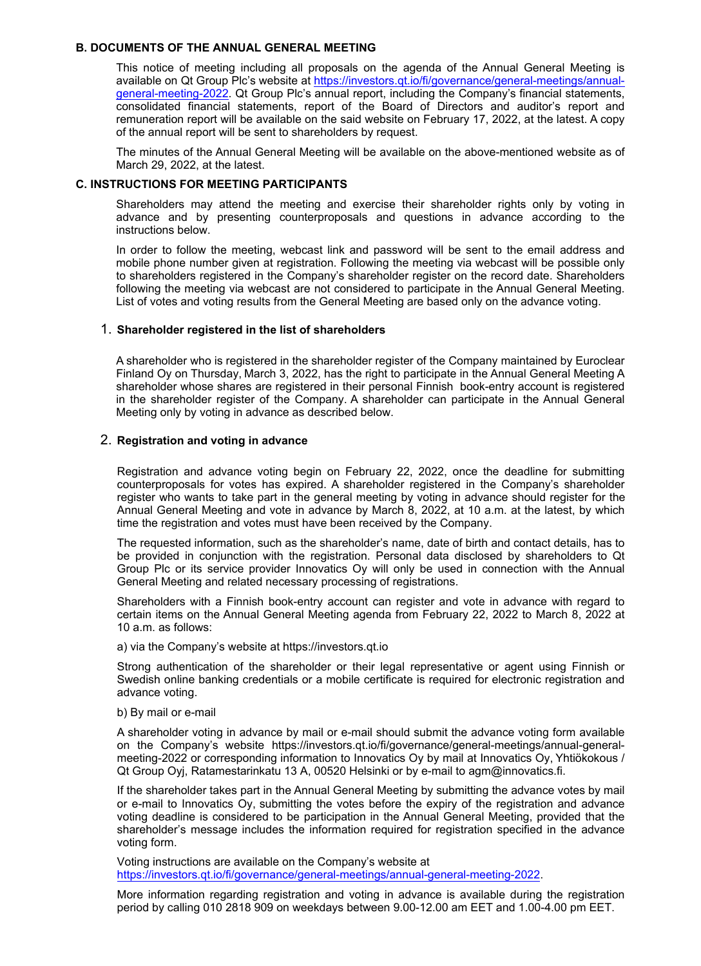#### **B. DOCUMENTS OF THE ANNUAL GENERAL MEETING**

This notice of meeting including all proposals on the agenda of the Annual General Meeting is available on Qt Group Plc's website at [https://investors.qt.io/fi/governance/general-meetings/annual](https://investors.qt.io/fi/governance/general-meetings/annual-general-meeting-2022)[general-meeting-2022](https://investors.qt.io/fi/governance/general-meetings/annual-general-meeting-2022). Qt Group Plc's annual report, including the Company's financial statements, consolidated financial statements, report of the Board of Directors and auditor's report and remuneration report will be available on the said website on February 17, 2022, at the latest. A copy of the annual report will be sent to shareholders by request.

The minutes of the Annual General Meeting will be available on the above-mentioned website as of March 29, 2022, at the latest.

#### **C. INSTRUCTIONS FOR MEETING PARTICIPANTS**

Shareholders may attend the meeting and exercise their shareholder rights only by voting in advance and by presenting counterproposals and questions in advance according to the instructions below.

In order to follow the meeting, webcast link and password will be sent to the email address and mobile phone number given at registration. Following the meeting via webcast will be possible only to shareholders registered in the Company's shareholder register on the record date. Shareholders following the meeting via webcast are not considered to participate in the Annual General Meeting. List of votes and voting results from the General Meeting are based only on the advance voting.

#### 1. **Shareholder registered in the list of shareholders**

A shareholder who is registered in the shareholder register of the Company maintained by Euroclear Finland Oy on Thursday, March 3, 2022, has the right to participate in the Annual General Meeting A shareholder whose shares are registered in their personal Finnish book-entry account is registered in the shareholder register of the Company. A shareholder can participate in the Annual General Meeting only by voting in advance as described below.

#### 2. **Registration and voting in advance**

Registration and advance voting begin on February 22, 2022, once the deadline for submitting counterproposals for votes has expired. A shareholder registered in the Company's shareholder register who wants to take part in the general meeting by voting in advance should register for the Annual General Meeting and vote in advance by March 8, 2022, at 10 a.m. at the latest, by which time the registration and votes must have been received by the Company.

The requested information, such as the shareholder's name, date of birth and contact details, has to be provided in conjunction with the registration. Personal data disclosed by shareholders to Qt Group Plc or its service provider Innovatics Oy will only be used in connection with the Annual General Meeting and related necessary processing of registrations.

Shareholders with a Finnish book-entry account can register and vote in advance with regard to certain items on the Annual General Meeting agenda from February 22, 2022 to March 8, 2022 at 10 a.m. as follows:

a) via the Company's website at https://investors.qt.io

Strong authentication of the shareholder or their legal representative or agent using Finnish or Swedish online banking credentials or a mobile certificate is required for electronic registration and advance voting.

#### b) By mail or e-mail

A shareholder voting in advance by mail or e-mail should submit the advance voting form available on the Company's website https://investors.qt.io/fi/governance/general-meetings/annual-generalmeeting-2022 or corresponding information to Innovatics Oy by mail at Innovatics Oy, Yhtiökokous / Qt Group Oyj, Ratamestarinkatu 13 A, 00520 Helsinki or by e-mail to agm@innovatics.fi.

If the shareholder takes part in the Annual General Meeting by submitting the advance votes by mail or e-mail to Innovatics Oy, submitting the votes before the expiry of the registration and advance voting deadline is considered to be participation in the Annual General Meeting, provided that the shareholder's message includes the information required for registration specified in the advance voting form.

Voting instructions are available on the Company's website at [https://investors.qt.io/fi/governance/general-meetings/annual-general-meeting-2022.](https://investors.qt.io/fi/governance/general-meetings/annual-general-meeting-2022)

More information regarding registration and voting in advance is available during the registration period by calling 010 2818 909 on weekdays between 9.00-12.00 am EET and 1.00-4.00 pm EET.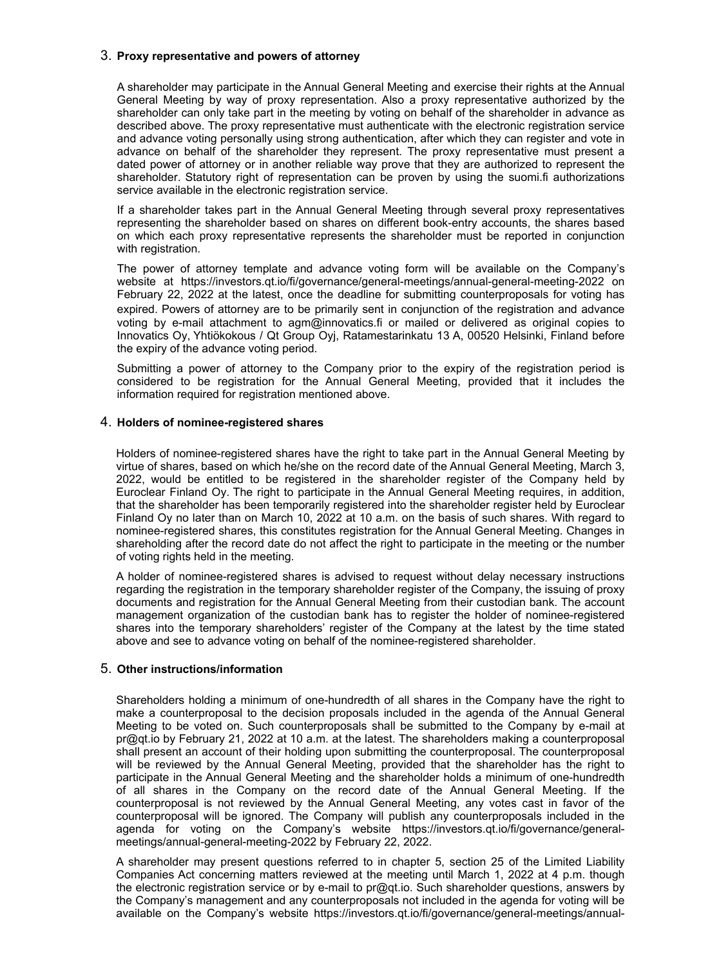## 3. **Proxy representative and powers of attorney**

A shareholder may participate in the Annual General Meeting and exercise their rights at the Annual General Meeting by way of proxy representation. Also a proxy representative authorized by the shareholder can only take part in the meeting by voting on behalf of the shareholder in advance as described above. The proxy representative must authenticate with the electronic registration service and advance voting personally using strong authentication, after which they can register and vote in advance on behalf of the shareholder they represent. The proxy representative must present a dated power of attorney or in another reliable way prove that they are authorized to represent the shareholder. Statutory right of representation can be proven by using the suomi.fi authorizations service available in the electronic registration service.

If a shareholder takes part in the Annual General Meeting through several proxy representatives representing the shareholder based on shares on different book-entry accounts, the shares based on which each proxy representative represents the shareholder must be reported in conjunction with registration.

The power of attorney template and advance voting form will be available on the Company's website at https://investors.qt.io/fi/governance/general-meetings/annual-general-meeting-2022 on February 22, 2022 at the latest, once the deadline for submitting counterproposals for voting has expired. Powers of attorney are to be primarily sent in conjunction of the registration and advance voting by e-mail attachment to agm@innovatics.fi or mailed or delivered as original copies to Innovatics Oy, Yhtiökokous / Qt Group Oyj, Ratamestarinkatu 13 A, 00520 Helsinki, Finland before the expiry of the advance voting period.

Submitting a power of attorney to the Company prior to the expiry of the registration period is considered to be registration for the Annual General Meeting, provided that it includes the information required for registration mentioned above.

#### 4. **Holders of nominee-registered shares**

Holders of nominee-registered shares have the right to take part in the Annual General Meeting by virtue of shares, based on which he/she on the record date of the Annual General Meeting, March 3, 2022, would be entitled to be registered in the shareholder register of the Company held by Euroclear Finland Oy. The right to participate in the Annual General Meeting requires, in addition, that the shareholder has been temporarily registered into the shareholder register held by Euroclear Finland Oy no later than on March 10, 2022 at 10 a.m. on the basis of such shares. With regard to nominee-registered shares, this constitutes registration for the Annual General Meeting. Changes in shareholding after the record date do not affect the right to participate in the meeting or the number of voting rights held in the meeting.

A holder of nominee-registered shares is advised to request without delay necessary instructions regarding the registration in the temporary shareholder register of the Company, the issuing of proxy documents and registration for the Annual General Meeting from their custodian bank. The account management organization of the custodian bank has to register the holder of nominee-registered shares into the temporary shareholders' register of the Company at the latest by the time stated above and see to advance voting on behalf of the nominee-registered shareholder.

#### 5. **Other instructions/information**

Shareholders holding a minimum of one-hundredth of all shares in the Company have the right to make a counterproposal to the decision proposals included in the agenda of the Annual General Meeting to be voted on. Such counterproposals shall be submitted to the Company by e-mail at pr@qt.io by February 21, 2022 at 10 a.m. at the latest. The shareholders making a counterproposal shall present an account of their holding upon submitting the counterproposal. The counterproposal will be reviewed by the Annual General Meeting, provided that the shareholder has the right to participate in the Annual General Meeting and the shareholder holds a minimum of one-hundredth of all shares in the Company on the record date of the Annual General Meeting. If the counterproposal is not reviewed by the Annual General Meeting, any votes cast in favor of the counterproposal will be ignored. The Company will publish any counterproposals included in the agenda for voting on the Company's website https://investors.qt.io/fi/governance/generalmeetings/annual-general-meeting-2022 by February 22, 2022.

A shareholder may present questions referred to in chapter 5, section 25 of the Limited Liability Companies Act concerning matters reviewed at the meeting until March 1, 2022 at 4 p.m. though the electronic registration service or by e-mail to pr@qt.io. Such shareholder questions, answers by the Company's management and any counterproposals not included in the agenda for voting will be available on the Company's website https://investors.qt.io/fi/governance/general-meetings/annual